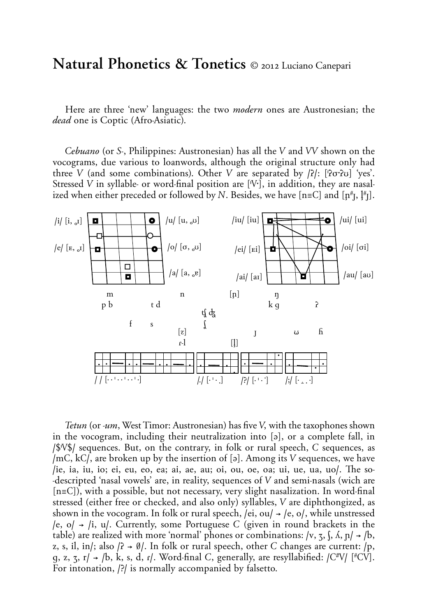## **Natural Phonetics & Tonetics**  $\odot$  2012 Luciano Canepari

Here are three 'new' languages: the two *modern* ones are Austronesian; the *dead* one is Coptic (Afro-Asiatic).

*Cebuano* (or *S-*, Philippines: Austronesian) has all the *V* and *VV* shown on the vocograms, due various to loanwords, although the original structure only had three *V* (and some combinations). Other *V* are separated by  $|\hat{\mathbf{r}}|$ :  $|\hat{\mathbf{r}}|\sigma \hat{\mathbf{r}}|$  'yes'. Stressed *V* in syllable- or word-final position are **('***é***;)**, in addition, they are nasalized when either preceded or followed by *N*. Besides, we have [n=C] and [n<sup>#</sup><sub>I</sub>,  $\lfloor$ #<sub>1</sub>].



*Tetun* (or *-um*, West Timor: Austronesian) has five *V˚* with the taxophones shown in the vocogram, including their neutralization into [a], or a complete fall, in */à***'***éà/* sequences. But, on the contrary, in folk or rural speech, *C* sequences, as **/m***0***, k***0/*, are broken up by the insertion of **(È)**. Among its *V* sequences, we have *lie, ia, iu, io; ei, eu, eo, ea; ai, ae, au; oi, ou, oe, oa; ui, ue, ua, uo/. The so-*-descripted 'nasal vowels' are, in reality, sequences of *V* and semi-nasals (wich are **(n**=*0***)**), with a possible, but not necessary, very slight nasalization. In word-final stressed (either free or checked, and also only) syllables, *V* are diphthongized, as shown in the vocogram. In folk or rural speech, /ei, ou/ **=** /e, o/, while unstressed **/e, o/ = /i, u/**. Currently, some Portuguese *C* (given in round brackets in the table) are realized with more 'normal' phones or combinations:  $/v$ ,  $\zeta$ ,  $\zeta$ ,  $\zeta$ ,  $\zeta$ ,  $\zeta$ **z**, s, il, in/; also  $\beta \rightarrow \emptyset$ . In folk or rural speech, other *C* changes are current:  $\beta$ , **g**, z, z,  $r' \rightarrow$  /b, k, s, d,  $r'$ . Word-final *C*, generally, are resyllabified: /C<sup>#</sup>V/ [<sup>#</sup>CV]. For intonation, **/?/** is normally accompanied by falsetto.